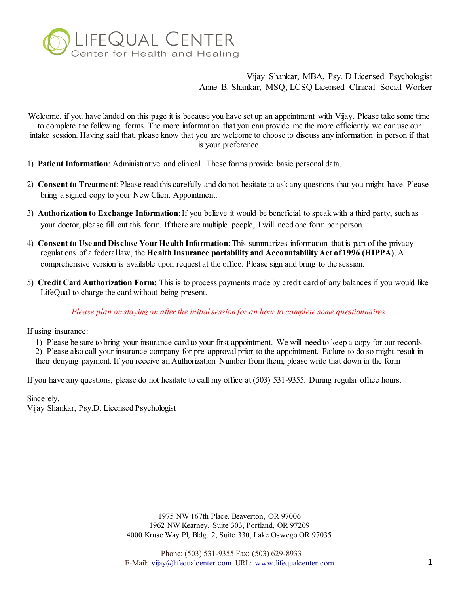

Welcome, if you have landed on this page it is because you have set up an appointment with Vijay. Please take some time to complete the following forms. The more information that you can provide me the more efficiently we can use our intake session. Having said that, please know that you are welcome to choose to discuss any information in person if that is your preference.

- 1) **Patient Information**: Administrative and clinical. These forms provide basic personal data.
- 2) **Consent to Treatment**: Please read this carefully and do not hesitate to ask any questions that you might have. Please bring a signed copy to your New Client Appointment.
- 3) **Authorization to Exchange Information**: If you believe it would be beneficial to speak with a third party, such as your doctor, please fill out this form. If there are multiple people, I will need one form per person.
- 4) **Consent to Use and Disclose Your Health Information**: This summarizes information that is part of the privacy regulations of a federal law, the **Health Insurance portability and Accountability Act of 1996 (HIPPA)**. A comprehensive version is available upon request at the office. Please sign and bring to the session.
- 5) **Credit Card Authorization Form:** This is to process payments made by credit card of any balances if you would like LifeQual to charge the card without being present.

*Please plan on staying on after the initial session for an hour to complete some questionnaires.*

If using insurance:

- 1) Please be sure to bring your insurance card to your first appointment. We will need to keep a copy for our records.
- 2) Please also call your insurance company for pre-approval prior to the appointment. Failure to do so might result in their denying payment. If you receive an Authorization Number from them, please write that down in the form

If you have any questions, please do not hesitate to call my office at (503) 531-9355. During regular office hours.

Sincerely,

Vijay Shankar, Psy.D. Licensed Psychologist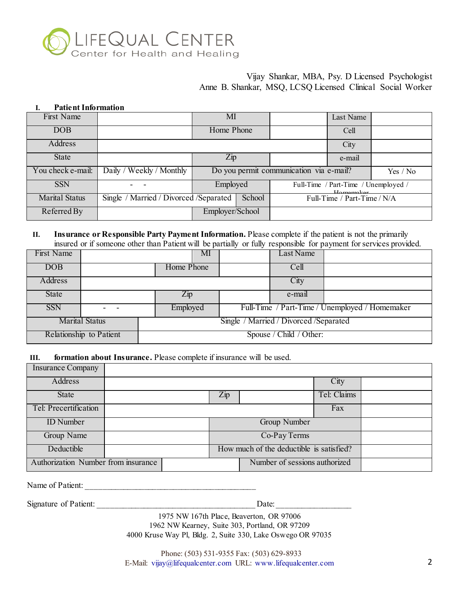

#### **I. Patient Information**

| First Name            |                                         | ΜΙ                                      | Last Name                                         |          |
|-----------------------|-----------------------------------------|-----------------------------------------|---------------------------------------------------|----------|
| <b>DOB</b>            |                                         | Home Phone                              | Cell                                              |          |
| Address               |                                         |                                         | City                                              |          |
| <b>State</b>          |                                         | $\mathop{\mathrm {Zip}}\nolimits$       | e-mail                                            |          |
| You check e-mail:     | Daily / Weekly / Monthly                | Do you permit communication via e-mail? |                                                   | Yes / No |
| <b>SSN</b>            |                                         | Employed                                | Full-Time / Part-Time / Unemployed /<br>Hamamakar |          |
| <b>Marital Status</b> | Single / Married / Divorced / Separated | School                                  | Full-Time / Part-Time / N/A                       |          |
| Referred By           |                                         | Employer/School                         |                                                   |          |

#### **II. Insurance or Responsible Party Payment Information.** Please complete if the patient is not the primarily insured or if someone other than Patient will be partially or fully responsible for payment for services provided.

| First Name              |                       |                                         | MI |  | Last Name               |                                                |
|-------------------------|-----------------------|-----------------------------------------|----|--|-------------------------|------------------------------------------------|
| DOB                     |                       | Home Phone                              |    |  | Cell                    |                                                |
| Address                 |                       |                                         |    |  | City                    |                                                |
| State                   |                       | $\overline{Zip}$                        |    |  | e-mail                  |                                                |
| <b>SSN</b>              |                       | Employed                                |    |  |                         | Full-Time / Part-Time / Unemployed / Homemaker |
|                         | <b>Marital Status</b> | Single / Married / Divorced / Separated |    |  |                         |                                                |
| Relationship to Patient |                       |                                         |    |  | Spouse / Child / Other: |                                                |

## **III. formation about Insurance.** Please complete if insurance will be used.

| <b>Insurance Company</b>            |  |     |                                          |             |  |
|-------------------------------------|--|-----|------------------------------------------|-------------|--|
| <b>Address</b>                      |  |     |                                          | City        |  |
| <b>State</b>                        |  | Zip |                                          | Tel: Claims |  |
| Tel: Precertification               |  |     |                                          | Fax         |  |
| <b>ID</b> Number                    |  |     | <b>Group Number</b>                      |             |  |
| Group Name                          |  |     | Co-Pay Terms                             |             |  |
| Deductible                          |  |     | How much of the deductible is satisfied? |             |  |
| Authorization Number from insurance |  |     | Number of sessions authorized            |             |  |
|                                     |  |     |                                          |             |  |

Name of Patient:

Signature of Patient: \_\_\_\_\_\_\_\_\_\_\_\_\_\_\_\_\_\_\_\_\_\_\_\_\_\_\_\_\_\_\_\_\_\_\_\_\_\_ Date: \_\_\_\_\_\_\_\_\_\_\_\_\_\_\_\_\_\_

1975 NW 167th Place, Beaverton, OR 97006 1962 NW Kearney, Suite 303, Portland, OR 97209

4000 Kruse Way Pl, Bldg. 2, Suite 330, Lake Oswego OR 97035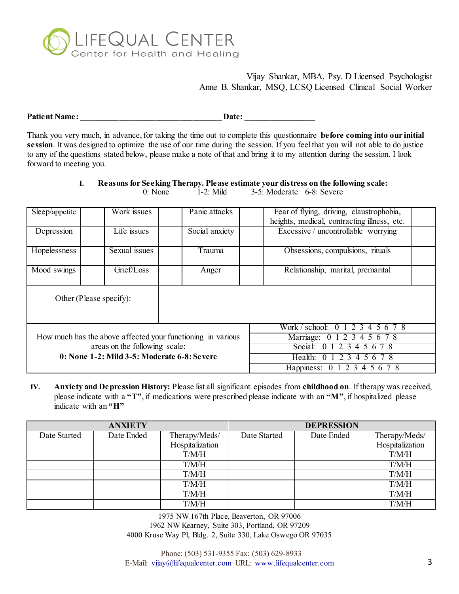

**Patient Name: \_\_\_\_\_\_\_\_\_\_\_\_\_\_\_\_\_\_\_\_\_\_\_\_\_\_\_\_\_\_\_\_\_\_ Date: \_\_\_\_\_\_\_\_\_\_\_\_\_\_\_\_\_** 

Thank you very much, in advance, for taking the time out to complete this questionnaire **before coming into our initial session**. It was designed to optimize the use of our time during the session. If you feel that you will not able to do justice to any of the questions stated below, please make a note of that and bring it to my attention during the session. I look forward to meeting you.

## **I. Reasons for Seeking Therapy. Please estimate your distress on the following scale:**

0: None 1-2: Mild 3-5: Moderate 6-8: Severe

| Sleep/appetite                                              | Work issues             | Panic attacks  | Fear of flying, driving, claustrophobia,    |  |
|-------------------------------------------------------------|-------------------------|----------------|---------------------------------------------|--|
|                                                             |                         |                | heights, medical, contracting illness, etc. |  |
| Depression                                                  | Life issues             | Social anxiety | Excessive / uncontrollable worrying         |  |
|                                                             |                         |                |                                             |  |
| Hopelessness                                                | Sexual issues           | Trauma         | Obsessions, compulsions, rituals            |  |
| Mood swings                                                 | Grief/Loss              | Anger          | Relationship, marital, premarital           |  |
|                                                             |                         |                |                                             |  |
|                                                             |                         |                |                                             |  |
|                                                             | Other (Please specify): |                |                                             |  |
|                                                             |                         |                |                                             |  |
|                                                             |                         |                |                                             |  |
|                                                             |                         |                | Work / school:<br>2 3<br>4<br>56            |  |
| How much has the above affected your functioning in various |                         |                | Marriage: 0 1 2 3 4 5 6 7 8                 |  |
| areas on the following scale:                               |                         |                | 0 1 2 3 4 5 6 7 8<br>Social:                |  |
| 0: None 1-2: Mild 3-5: Moderate 6-8: Severe                 |                         |                | 2 3<br>Health:<br>$\Omega$<br>6 7 8<br>.5   |  |
|                                                             |                         |                | Happiness:<br>0 1 2 3 4 5 6 7 8             |  |

**IV. Anxiety and Depression History:** Please list all significant episodes from **childhood on**. If therapy was received, please indicate with a **"T"**, if medications were prescribed please indicate with an **"M"**, if hospitalized please indicate with an **"H"** 

|              | <b>ANXIETY</b> |                 |              | <b>DEPRESSION</b> |                 |
|--------------|----------------|-----------------|--------------|-------------------|-----------------|
| Date Started | Date Ended     | Therapy/Meds/   | Date Started | Date Ended        | Therapy/Meds/   |
|              |                | Hospitalization |              |                   | Hospitalization |
|              |                | T/M/H           |              |                   | T/M/H           |
|              |                | T/M/H           |              |                   | T/M/H           |
|              |                | T/M/H           |              |                   | T/M/H           |
|              |                | T/M/H           |              |                   | T/M/H           |
|              |                | T/M/H           |              |                   | T/M/H           |
|              |                | T/M/H           |              |                   | T/M/H           |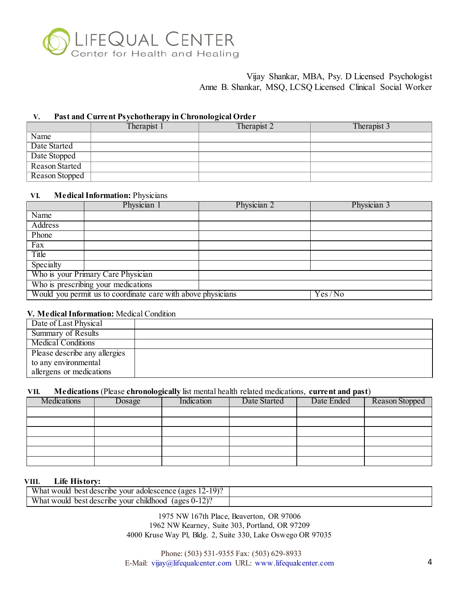

#### **V. Past and Current Psychotherapy in Chronological Order**

|                | Therapist 1 | Therapist 2 | Therapist 3 |
|----------------|-------------|-------------|-------------|
| Name           |             |             |             |
| Date Started   |             |             |             |
| Date Stopped   |             |             |             |
| Reason Started |             |             |             |
| Reason Stopped |             |             |             |

# **VI. Medical Information:** Physicians

|                                     | Physician 1                                                  | Physician 2 | Physician 3 |  |
|-------------------------------------|--------------------------------------------------------------|-------------|-------------|--|
| Name                                |                                                              |             |             |  |
| Address                             |                                                              |             |             |  |
| Phone                               |                                                              |             |             |  |
| Fax                                 |                                                              |             |             |  |
| Title                               |                                                              |             |             |  |
| Specialty                           |                                                              |             |             |  |
|                                     | Who is your Primary Care Physician                           |             |             |  |
| Who is prescribing your medications |                                                              |             |             |  |
|                                     | Would you permit us to coordinate care with above physicians |             | Yes/No      |  |

## **V. Medical Information:** Medical Condition

| Date of Last Physical         |  |
|-------------------------------|--|
| Summary of Results            |  |
| <b>Medical Conditions</b>     |  |
| Please describe any allergies |  |
| to any environmental          |  |
| allergens or medications      |  |

## **VII. Medications** (Please **chronologically** list mental health related medications, **current and past**)

| Medications | Dosage | Indication | Date Started | Date Ended | Reason Stopped |
|-------------|--------|------------|--------------|------------|----------------|
|             |        |            |              |            |                |
|             |        |            |              |            |                |
|             |        |            |              |            |                |
|             |        |            |              |            |                |
|             |        |            |              |            |                |
|             |        |            |              |            |                |

#### **VIII. Life History:**

| $12 - 19$ ?<br>What would<br>adolescence (ages<br>best describe<br>vour |  |
|-------------------------------------------------------------------------|--|
| What would<br>(ages 0-1<br>vour<br>childhood<br>best describe           |  |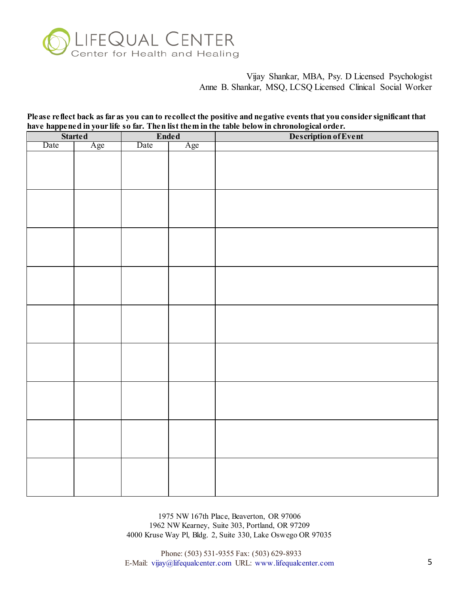

**Please reflect back as far as you can to recollect the positive and negative events that you consider significant that have happened in your life so far. Then list them in the table below in chronological order.** 

| Description of Event<br><b>Ended</b><br><b>Started</b><br>Date<br>Age<br>Date<br>Age |
|--------------------------------------------------------------------------------------|
|                                                                                      |
|                                                                                      |
|                                                                                      |
|                                                                                      |
|                                                                                      |
|                                                                                      |
|                                                                                      |
|                                                                                      |
|                                                                                      |
|                                                                                      |
|                                                                                      |
|                                                                                      |
|                                                                                      |
|                                                                                      |
|                                                                                      |
|                                                                                      |
|                                                                                      |
|                                                                                      |
|                                                                                      |
|                                                                                      |
|                                                                                      |
|                                                                                      |
|                                                                                      |
|                                                                                      |
|                                                                                      |
|                                                                                      |
|                                                                                      |
|                                                                                      |
|                                                                                      |
|                                                                                      |
|                                                                                      |
|                                                                                      |
|                                                                                      |
|                                                                                      |
|                                                                                      |

1975 NW 167th Place, Beaverton, OR 97006 1962 NW Kearney, Suite 303, Portland, OR 97209 4000 Kruse Way Pl, Bldg. 2, Suite 330, Lake Oswego OR 97035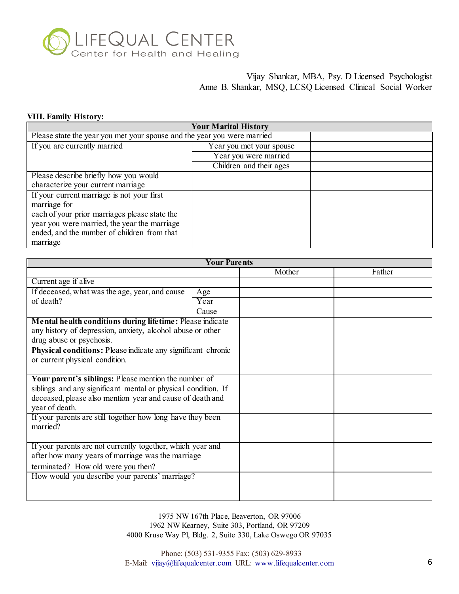

# **VIII. Family History:**

| <b>Your Marital History</b>                                             |                          |  |  |  |  |
|-------------------------------------------------------------------------|--------------------------|--|--|--|--|
| Please state the year you met your spouse and the year you were married |                          |  |  |  |  |
| If you are currently married                                            | Year you met your spouse |  |  |  |  |
|                                                                         | Year you were married    |  |  |  |  |
|                                                                         | Children and their ages  |  |  |  |  |
| Please describe briefly how you would                                   |                          |  |  |  |  |
| characterize your current marriage                                      |                          |  |  |  |  |
| If your current marriage is not your first                              |                          |  |  |  |  |
| marriage for                                                            |                          |  |  |  |  |
| each of your prior marriages please state the                           |                          |  |  |  |  |
| year you were married, the year the marriage                            |                          |  |  |  |  |
| ended, and the number of children from that                             |                          |  |  |  |  |
| marriage                                                                |                          |  |  |  |  |

|                                                                                                                                                     | <b>Your Parents</b> |        |        |
|-----------------------------------------------------------------------------------------------------------------------------------------------------|---------------------|--------|--------|
|                                                                                                                                                     |                     | Mother | Father |
| Current age if alive                                                                                                                                |                     |        |        |
| If deceased, what was the age, year, and cause                                                                                                      | Age                 |        |        |
| of death?                                                                                                                                           | Year                |        |        |
|                                                                                                                                                     | Cause               |        |        |
| Mental health conditions during lifetime: Please indicate<br>any history of depression, anxiety, alcohol abuse or other<br>drug abuse or psychosis. |                     |        |        |
| Physical conditions: Please indicate any significant chronic                                                                                        |                     |        |        |
| or current physical condition.                                                                                                                      |                     |        |        |
| Your parent's siblings: Please mention the number of                                                                                                |                     |        |        |
| siblings and any significant mental or physical condition. If                                                                                       |                     |        |        |
| deceased, please also mention year and cause of death and<br>year of death.                                                                         |                     |        |        |
| If your parents are still together how long have they been<br>married?                                                                              |                     |        |        |
| If your parents are not currently together, which year and                                                                                          |                     |        |        |
| after how many years of marriage was the marriage                                                                                                   |                     |        |        |
| terminated? How old were you then?                                                                                                                  |                     |        |        |
| How would you describe your parents' marriage?                                                                                                      |                     |        |        |
|                                                                                                                                                     |                     |        |        |
|                                                                                                                                                     |                     |        |        |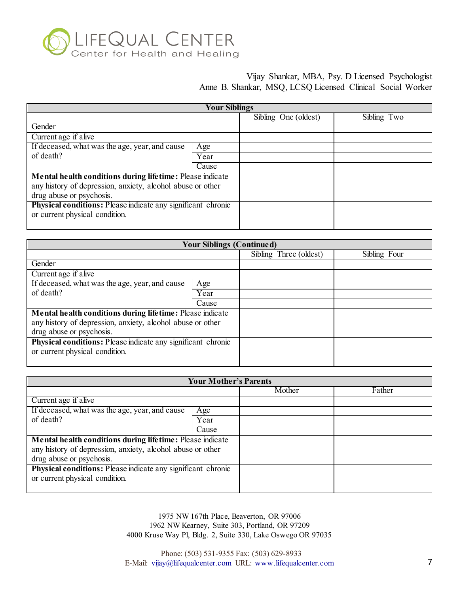

|                                                                     | <b>Your Siblings</b> |                      |             |
|---------------------------------------------------------------------|----------------------|----------------------|-------------|
|                                                                     |                      | Sibling One (oldest) | Sibling Two |
| Gender                                                              |                      |                      |             |
| Current age if alive                                                |                      |                      |             |
| If deceased, what was the age, year, and cause                      | Age                  |                      |             |
| of death?                                                           | Year                 |                      |             |
|                                                                     | Cause                |                      |             |
| Mental health conditions during lifetime: Please indicate           |                      |                      |             |
| any history of depression, anxiety, alcohol abuse or other          |                      |                      |             |
| drug abuse or psychosis.                                            |                      |                      |             |
| <b>Physical conditions:</b> Please indicate any significant chronic |                      |                      |             |
| or current physical condition.                                      |                      |                      |             |
|                                                                     |                      |                      |             |

|                                                              | <b>Your Siblings (Continued)</b> |                        |              |
|--------------------------------------------------------------|----------------------------------|------------------------|--------------|
|                                                              |                                  | Sibling Three (oldest) | Sibling Four |
| Gender                                                       |                                  |                        |              |
| Current age if alive                                         |                                  |                        |              |
| If deceased, what was the age, year, and cause               | Age                              |                        |              |
| of death?                                                    | Year                             |                        |              |
|                                                              | Cause                            |                        |              |
| Mental health conditions during lifetime: Please indicate    |                                  |                        |              |
| any history of depression, anxiety, alcohol abuse or other   |                                  |                        |              |
| drug abuse or psychosis.                                     |                                  |                        |              |
| Physical conditions: Please indicate any significant chronic |                                  |                        |              |
| or current physical condition.                               |                                  |                        |              |
|                                                              |                                  |                        |              |

|                                                              | <b>Your Mother's Parents</b> |        |        |
|--------------------------------------------------------------|------------------------------|--------|--------|
|                                                              |                              | Mother | Father |
| Current age if alive                                         |                              |        |        |
| If deceased, what was the age, year, and cause               | Age                          |        |        |
| of death?                                                    | Year                         |        |        |
|                                                              | Cause                        |        |        |
| Mental health conditions during lifetime: Please indicate    |                              |        |        |
| any history of depression, anxiety, alcohol abuse or other   |                              |        |        |
| drug abuse or psychosis.                                     |                              |        |        |
| Physical conditions: Please indicate any significant chronic |                              |        |        |
| or current physical condition.                               |                              |        |        |
|                                                              |                              |        |        |

1975 NW 167th Place, Beaverton, OR 97006 1962 NW Kearney, Suite 303, Portland, OR 97209 4000 Kruse Way Pl, Bldg. 2, Suite 330, Lake Oswego OR 97035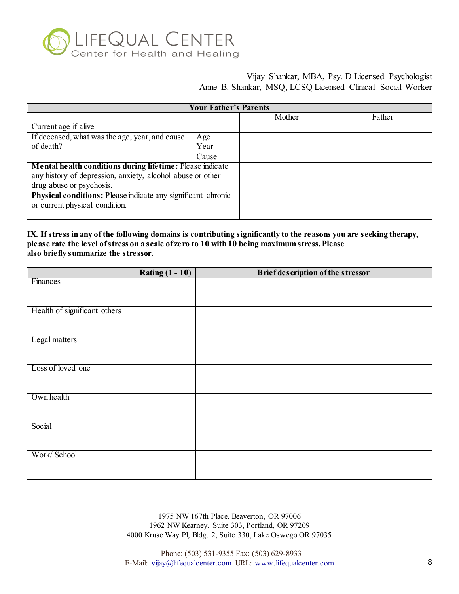

|                                                              | <b>Your Father's Parents</b> |        |        |
|--------------------------------------------------------------|------------------------------|--------|--------|
|                                                              |                              | Mother | Father |
| Current age if alive                                         |                              |        |        |
| If deceased, what was the age, year, and cause               | Age                          |        |        |
| of death?                                                    | Year                         |        |        |
|                                                              | Cause                        |        |        |
| Mental health conditions during lifetime: Please indicate    |                              |        |        |
| any history of depression, anxiety, alcohol abuse or other   |                              |        |        |
| drug abuse or psychosis.                                     |                              |        |        |
| Physical conditions: Please indicate any significant chronic |                              |        |        |
| or current physical condition.                               |                              |        |        |
|                                                              |                              |        |        |

## **IX. If stress in any of the following domains is contributing significantly to the reasons you are seeking therapy, please rate the level of stress on a scale of zero to 10 with 10 being maximum stress. Please also briefly summarize the stressor.**

|                              | Rating $(1 - 10)$ | <b>Brief description of the stressor</b> |
|------------------------------|-------------------|------------------------------------------|
| Finances                     |                   |                                          |
|                              |                   |                                          |
|                              |                   |                                          |
| Health of significant others |                   |                                          |
|                              |                   |                                          |
|                              |                   |                                          |
| Legal matters                |                   |                                          |
|                              |                   |                                          |
|                              |                   |                                          |
| Loss of loved one            |                   |                                          |
|                              |                   |                                          |
| Own health                   |                   |                                          |
|                              |                   |                                          |
|                              |                   |                                          |
| Social                       |                   |                                          |
|                              |                   |                                          |
|                              |                   |                                          |
| Work/ School                 |                   |                                          |
|                              |                   |                                          |
|                              |                   |                                          |

1975 NW 167th Place, Beaverton, OR 97006 1962 NW Kearney, Suite 303, Portland, OR 97209 4000 Kruse Way Pl, Bldg. 2, Suite 330, Lake Oswego OR 97035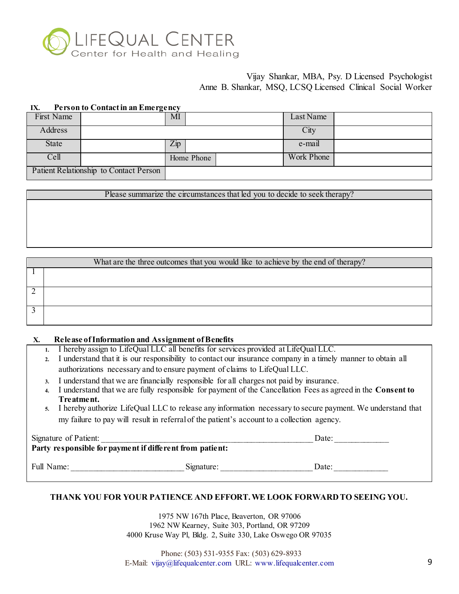

#### **IX. Person to Contact in an Emergency**

| First Name   |                                        | MI             | Last Name  |  |
|--------------|----------------------------------------|----------------|------------|--|
| Address      |                                        |                | City       |  |
| <b>State</b> |                                        | $\mathbf{Zip}$ | e-mail     |  |
| Cell         |                                        | Home Phone     | Work Phone |  |
|              | Patient Relationship to Contact Person |                |            |  |

Please summarize the circumstances that led you to decide to seek therapy?

| What are the three outcomes that you would like to achieve by the end of therapy? |
|-----------------------------------------------------------------------------------|
|                                                                                   |
|                                                                                   |
|                                                                                   |
|                                                                                   |
|                                                                                   |
|                                                                                   |
|                                                                                   |
|                                                                                   |
|                                                                                   |
|                                                                                   |
|                                                                                   |
|                                                                                   |
|                                                                                   |
|                                                                                   |
|                                                                                   |

#### **X. Release of Information and Assignment of Benefits**

- **1.** I hereby assign to LifeQual LLC all benefits for services provided at LifeQual LLC.
- **2.** I understand that it is our responsibility to contact our insurance company in a timely manner to obtain all authorizations necessary and to ensure payment of claims to LifeQual LLC.
- **3.** I understand that we are financially responsible for all charges not paid by insurance.
- **4.** I understand that we are fully responsible for payment of the Cancellation Fees as agreed in the **Consent to Treatment.**
- **5.** I hereby authorize LifeQual LLC to release any information necessary to secure payment. We understand that my failure to pay will result in referral of the patient's account to a collection agency.

| Signature of Patient:                                    |            | Date: |
|----------------------------------------------------------|------------|-------|
| Party responsible for payment if different from patient: |            |       |
|                                                          |            |       |
| Full Name:                                               | Signature: | Date: |

# **THANK YOU FOR YOUR PATIENCE AND EFFORT. WE LOOK FORWARD TO SEEING YOU.**

1975 NW 167th Place, Beaverton, OR 97006 1962 NW Kearney, Suite 303, Portland, OR 97209 4000 Kruse Way Pl, Bldg. 2, Suite 330, Lake Oswego OR 97035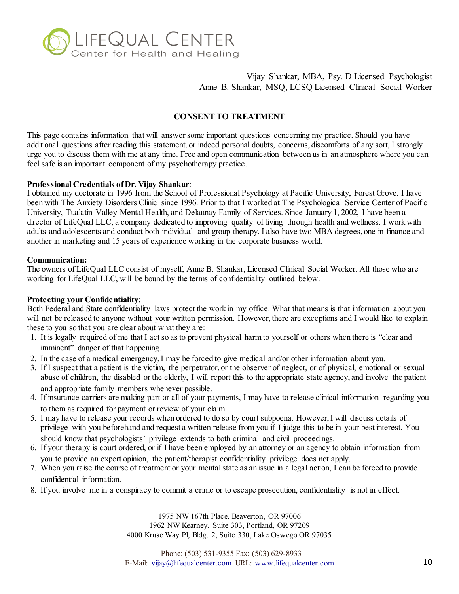

## **CONSENT TO TREATMENT**

This page contains information that will answer some important questions concerning my practice. Should you have additional questions after reading this statement, or indeed personal doubts, concerns, discomforts of any sort, I strongly urge you to discuss them with me at any time. Free and open communication between us in an atmosphere where you can feel safe is an important component of my psychotherapy practice.

## **Professional Credentials of Dr. Vijay Shankar**:

I obtained my doctorate in 1996 from the School of Professional Psychology at Pacific University, Forest Grove. I have been with The Anxiety Disorders Clinic since 1996. Prior to that I worked at The Psychological Service Center of Pacific University, Tualatin Valley Mental Health, and Delaunay Family of Services. Since January 1, 2002, I have been a director of LifeQual LLC, a company dedicated to improving quality of living through health and wellness. I work with adults and adolescents and conduct both individual and group therapy. I also have two MBA degrees, one in finance and another in marketing and 15 years of experience working in the corporate business world.

#### **Communication:**

The owners of LifeQual LLC consist of myself, Anne B. Shankar, Licensed Clinical Social Worker. All those who are working for LifeQual LLC, will be bound by the terms of confidentiality outlined below.

## **Protecting your Confidentiality**:

Both Federal and State confidentiality laws protect the work in my office. What that means is that information about you will not be released to anyone without your written permission. However, there are exceptions and I would like to explain these to you so that you are clear about what they are:

- 1. It is legally required of me that I act so as to prevent physical harm to yourself or others when there is "clear and imminent" danger of that happening.
- 2. In the case of a medical emergency, I may be forced to give medical and/or other information about you.
- 3. If I suspect that a patient is the victim, the perpetrator, or the observer of neglect, or of physical, emotional or sexual abuse of children, the disabled or the elderly, I will report this to the appropriate state agency, and involve the patient and appropriate family members whenever possible.
- 4. If insurance carriers are making part or all of your payments, I may have to release clinical information regarding you to them as required for payment or review of your claim.
- 5. I may have to release your records when ordered to do so by court subpoena. However, I will discuss details of privilege with you beforehand and request a written release from you if I judge this to be in your best interest. You should know that psychologists' privilege extends to both criminal and civil proceedings.
- 6. If your therapy is court ordered, or if I have been employed by an attorney or an agency to obtain information from you to provide an expert opinion, the patient/therapist confidentiality privilege does not apply.
- 7. When you raise the course of treatment or your mental state as an issue in a legal action, I can be forced to provide confidential information.
- 8. If you involve me in a conspiracy to commit a crime or to escape prosecution, confidentiality is not in effect.

1975 NW 167th Place, Beaverton, OR 97006 1962 NW Kearney, Suite 303, Portland, OR 97209 4000 Kruse Way Pl, Bldg. 2, Suite 330, Lake Oswego OR 97035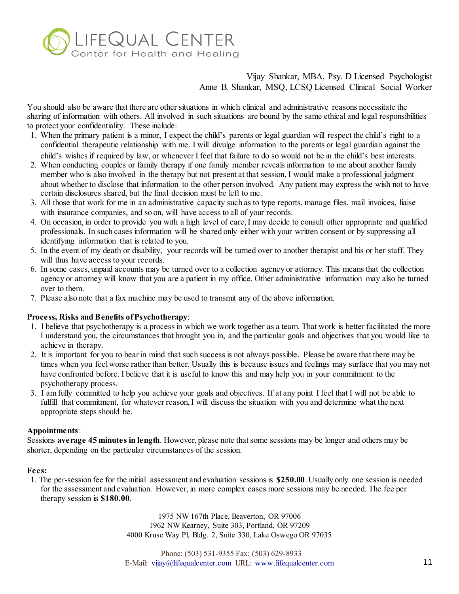

You should also be aware that there are other situations in which clinical and administrative reasons necessitate the sharing of information with others. All involved in such situations are bound by the same ethical and legal responsibilities to protect your confidentiality. These include:

- 1. When the primary patient is a minor, I expect the child's parents or legal guardian will respect the child's right to a confidential therapeutic relationship with me. I will divulge information to the parents or legal guardian against the child's wishes if required by law, or whenever I feel that failure to do so would not be in the child's best interests.
- 2. When conducting couples or family therapy if one family member reveals information to me about another family member who is also involved in the therapy but not present at that session, I would make a professional judgment about whether to disclose that information to the other person involved. Any patient may express the wish not to have certain disclosures shared, but the final decision must be left to me.
- 3. All those that work for me in an administrative capacity such as to type reports, manage files, mail invoices, liaise with insurance companies, and so on, will have access to all of your records.
- 4. On occasion, in order to provide you with a high level of care, I may decide to consult other appropriate and qualified professionals. In such cases information will be shared only either with your written consent or by suppressing all identifying information that is related to you.
- 5. In the event of my death or disability, your records will be turned over to another therapist and his or her staff. They will thus have access to your records.
- 6. In some cases, unpaid accounts may be turned over to a collection agency or attorney. This means that the collection agency or attorney will know that you are a patient in my office. Other administrative information may also be turned over to them.
- 7. Please also note that a fax machine may be used to transmit any of the above information.

# **Process, Risks and Benefits of Psychotherapy**:

- 1. I believe that psychotherapy is a process in which we work together as a team. That work is better facilitated the more I understand you, the circumstances that brought you in, and the particular goals and objectives that you would like to achieve in therapy.
- 2. It is important for you to bear in mind that such success is not always possible. Please be aware that there may be times when you feel worse rather than better. Usually this is because issues and feelings may surface that you may not have confronted before. I believe that it is useful to know this and may help you in your commitment to the psychotherapy process.
- 3. I am fully committed to help you achieve your goals and objectives. If at any point I feel that I will not be able to fulfill that commitment, for whatever reason, I will discuss the situation with you and determine what the next appropriate steps should be.

## **Appointments**:

Sessions **average 45 minutes in length**. However, please note that some sessions may be longer and others may be shorter, depending on the particular circumstances of the session.

## **Fees:**

1. The per-session fee for the initial assessment and evaluation sessions is **\$250.00**. Usually only one session is needed for the assessment and evaluation. However, in more complex cases more sessions may be needed. The fee per therapy session is **\$180.00**.

> 1975 NW 167th Place, Beaverton, OR 97006 1962 NW Kearney, Suite 303, Portland, OR 97209 4000 Kruse Way Pl, Bldg. 2, Suite 330, Lake Oswego OR 97035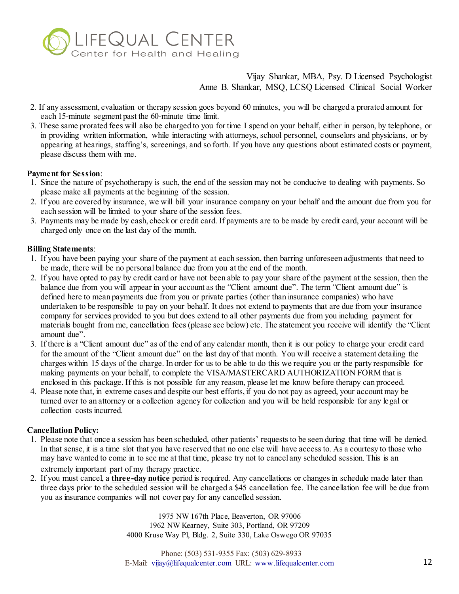

- 2. If any assessment, evaluation or therapy session goes beyond 60 minutes, you will be charged a prorated amount for each 15-minute segment past the 60-minute time limit.
- 3. These same prorated fees will also be charged to you for time I spend on your behalf, either in person, by telephone, or in providing written information, while interacting with attorneys, school personnel, counselors and physicians, or by appearing at hearings, staffing's, screenings, and so forth. If you have any questions about estimated costs or payment, please discuss them with me.

## **Payment for Session**:

- 1. Since the nature of psychotherapy is such, the end of the session may not be conducive to dealing with payments. So please make all payments at the beginning of the session.
- 2. If you are covered by insurance, we will bill your insurance company on your behalf and the amount due from you for each session will be limited to your share of the session fees.
- 3. Payments may be made by cash, check or credit card. If payments are to be made by credit card, your account will be charged only once on the last day of the month.

# **Billing Statements**:

- 1. If you have been paying your share of the payment at each session, then barring unforeseen adjustments that need to be made, there will be no personal balance due from you at the end of the month.
- 2. If you have opted to pay by credit card or have not been able to pay your share of the payment at the session, then the balance due from you will appear in your account as the "Client amount due". The term "Client amount due" is defined here to mean payments due from you or private parties (other than insurance companies) who have undertaken to be responsible to pay on your behalf. It does not extend to payments that are due from your insurance company for services provided to you but does extend to all other payments due from you including payment for materials bought from me, cancellation fees (please see below) etc. The statement you receive will identify the "Client amount due".
- 3. If there is a "Client amount due" as of the end of any calendar month, then it is our policy to charge your credit card for the amount of the "Client amount due" on the last day of that month. You will receive a statement detailing the charges within 15 days of the charge. In order for us to be able to do this we require you or the party responsible for making payments on your behalf, to complete the VISA/MASTERCARD AUTHORIZATION FORM that is enclosed in this package. If this is not possible for any reason, please let me know before therapy can proceed.
- 4. Please note that, in extreme cases and despite our best efforts, if you do not pay as agreed, your account may be turned over to an attorney or a collection agency for collection and you will be held responsible for any legal or collection costs incurred.

# **Cancellation Policy:**

- 1. Please note that once a session has been scheduled, other patients' requests to be seen during that time will be denied. In that sense, it is a time slot that you have reserved that no one else will have access to. As a courtesy to those who may have wanted to come in to see me at that time, please try not to cancel any scheduled session. This is an extremely important part of my therapy practice.
- 2. If you must cancel, a **three-day notice** period is required. Any cancellations or changes in schedule made later than three days prior to the scheduled session will be charged a \$45 cancellation fee. The cancellation fee will be due from you as insurance companies will not cover pay for any cancelled session.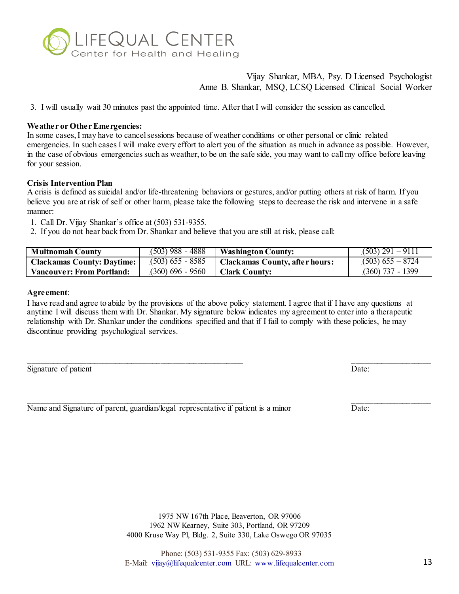

3. I will usually wait 30 minutes past the appointed time. After that I will consider the session as cancelled.

#### **Weather or Other Emergencies:**

In some cases, I may have to cancel sessions because of weather conditions or other personal or clinic related emergencies. In such cases I will make every effort to alert you of the situation as much in advance as possible. However, in the case of obvious emergencies such as weather, to be on the safe side, you may want to call my office before leaving for your session.

#### **Crisis Intervention Plan**

A crisis is defined as suicidal and/or life-threatening behaviors or gestures, and/or putting others at risk of harm. If you believe you are at risk of self or other harm, please take the following steps to decrease the risk and intervene in a safe manner:

- 1. Call Dr. Vijay Shankar's office at (503) 531-9355.
- 2. If you do not hear back from Dr. Shankar and believe that you are still at risk, please call:

| <b>Multnomah County</b>           | $(503)$ 988 - 4888 | <b>Washington County:</b>      | $(503)$ 291 - 9111 |
|-----------------------------------|--------------------|--------------------------------|--------------------|
| <b>Clackamas County: Daytime:</b> | $(503)$ 655 - 8585 | Clackamas County, after hours: | $(503)$ 655 – 8724 |
| Vancouver: From Portland: \       | $(360) 696 - 9560$ | Clark County:                  | $(360)$ 737 - 1399 |

#### **Agreement**:

I have read and agree to abide by the provisions of the above policy statement. I agree that if I have any questions at anytime I will discuss them with Dr. Shankar. My signature below indicates my agreement to enter into a therapeutic relationship with Dr. Shankar under the conditions specified and that if I fail to comply with these policies, he may discontinue providing psychological services.

 $\mathcal{L}_\text{max}$  , and the contract of the contract of the contract of the contract of the contract of the contract of the contract of the contract of the contract of the contract of the contract of the contract of the contr

| Signature of patient | Date: |
|----------------------|-------|
|                      |       |

Name and Signature of parent, guardian/legal representative if patient is a minor Date:

 $\mathcal{L}_\text{max}$  , and the contract of the contract of the contract of the contract of the contract of the contract of the contract of the contract of the contract of the contract of the contract of the contract of the contr

1975 NW 167th Place, Beaverton, OR 97006 1962 NW Kearney, Suite 303, Portland, OR 97209 4000 Kruse Way Pl, Bldg. 2, Suite 330, Lake Oswego OR 97035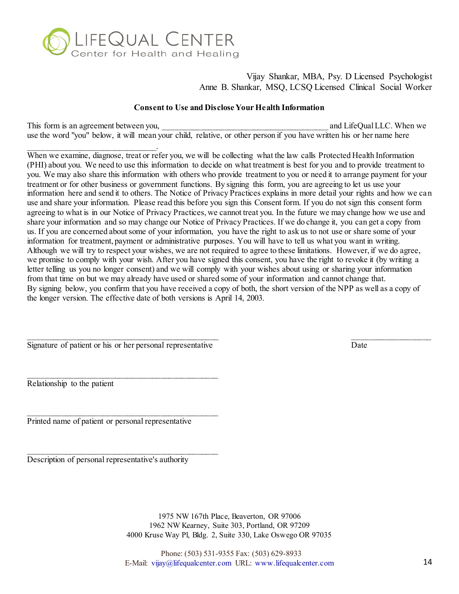

## **Consent to Use and Disclose Your Health Information**

This form is an agreement between you, the same of the same of the same of the same of the same of the same of the same of the same of the same of the same of the same of the same of the same of the same of the same of the use the word "you" below, it will mean your child, relative, or other person if you have written his or her name here

\_\_\_\_\_\_\_\_\_\_\_\_\_\_\_\_\_\_\_\_\_\_\_\_\_\_\_\_\_\_\_. When we examine, diagnose, treat or refer you, we will be collecting what the law calls Protected Health Information (PHI) about you. We need to use this information to decide on what treatment is best for you and to provide treatment to you. We may also share this information with others who provide treatment to you or need it to arrange payment for your treatment or for other business or government functions. By signing this form, you are agreeing to let us use your information here and send it to others. The Notice of Privacy Practices explains in more detail your rights and how we can use and share your information. Please read this before you sign this Consent form. If you do not sign this consent form agreeing to what is in our Notice of Privacy Practices, we cannot treat you. In the future we may change how we use and share your information and so may change our Notice of Privacy Practices. If we do change it, you can get a copy from us. If you are concerned about some of your information, you have the right to ask us to not use or share some of your information for treatment, payment or administrative purposes. You will have to tell us what you want in writing. Although we will try to respect your wishes, we are not required to agree to these limitations. However, if we do agree, we promise to comply with your wish. After you have signed this consent, you have the right to revoke it (by writing a letter telling us you no longer consent) and we will comply with your wishes about using or sharing your information from that time on but we may already have used or shared some of your information and cannot change that. By signing below, you confirm that you have received a copy of both, the short version of the NPP as well as a copy of the longer version. The effective date of both versions is April 14, 2003.

Signature of patient or his or her personal representative Date

 $\overline{\phantom{a}}$  , and the set of the set of the set of the set of the set of the set of the set of the set of the set of the set of the set of the set of the set of the set of the set of the set of the set of the set of the s

 $\overline{\phantom{a}}$  , and the set of the set of the set of the set of the set of the set of the set of the set of the set of the set of the set of the set of the set of the set of the set of the set of the set of the set of the s

 $\mathcal{L}_\text{max}$  and the contract of the contract of the contract of the contract of the contract of the contract of the contract of the contract of the contract of the contract of the contract of the contract of the contrac

Relationship to the patient

Printed name of patient or personal representative

Description of personal representative's authority

1975 NW 167th Place, Beaverton, OR 97006 1962 NW Kearney, Suite 303, Portland, OR 97209 4000 Kruse Way Pl, Bldg. 2, Suite 330, Lake Oswego OR 97035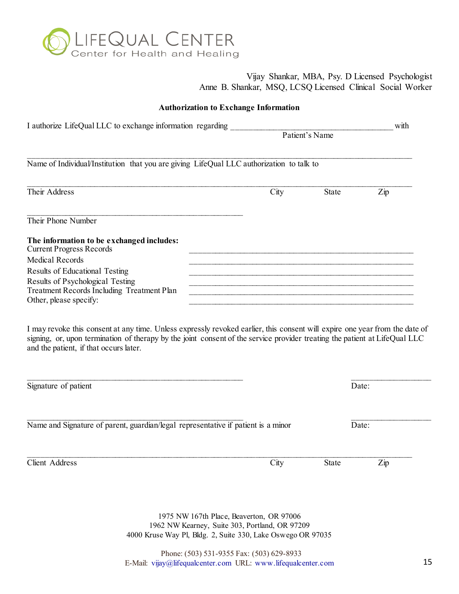

| I authorize LifeQual LLC to exchange information regarding                                                                                                                                   |                                                                                                                       | Patient's Name | with           |
|----------------------------------------------------------------------------------------------------------------------------------------------------------------------------------------------|-----------------------------------------------------------------------------------------------------------------------|----------------|----------------|
| Name of Individual/Institution that you are giving LifeQual LLC authorization to talk to                                                                                                     |                                                                                                                       |                |                |
| Their Address                                                                                                                                                                                | City                                                                                                                  | <b>State</b>   | $\mathbf{Zip}$ |
| Their Phone Number                                                                                                                                                                           |                                                                                                                       |                |                |
| The information to be exchanged includes:<br><b>Current Progress Records</b>                                                                                                                 |                                                                                                                       |                |                |
| <b>Medical Records</b>                                                                                                                                                                       |                                                                                                                       |                |                |
| Results of Educational Testing                                                                                                                                                               |                                                                                                                       |                |                |
| Results of Psychological Testing                                                                                                                                                             |                                                                                                                       |                |                |
| Treatment Records Including Treatment Plan                                                                                                                                                   | <u> 1989 - Johann Harry Harry Harry Harry Harry Harry Harry Harry Harry Harry Harry Harry Harry Harry Harry Harry</u> |                |                |
| Other, please specify:                                                                                                                                                                       |                                                                                                                       |                |                |
| I may revoke this consent at any time. Unless expressly revoked earlier, this consent will expire one year from the date of                                                                  |                                                                                                                       |                |                |
| signing, or, upon termination of therapy by the joint consent of the service provider treating the patient at LifeQual LLC<br>and the patient, if that occurs later.<br>Signature of patient |                                                                                                                       |                | Date:          |
| Name and Signature of parent, guardian/legal representative if patient is a minor                                                                                                            |                                                                                                                       |                | Date:          |
|                                                                                                                                                                                              |                                                                                                                       |                |                |
| <b>Client Address</b>                                                                                                                                                                        | City                                                                                                                  | <b>State</b>   | $\mathbf{Zip}$ |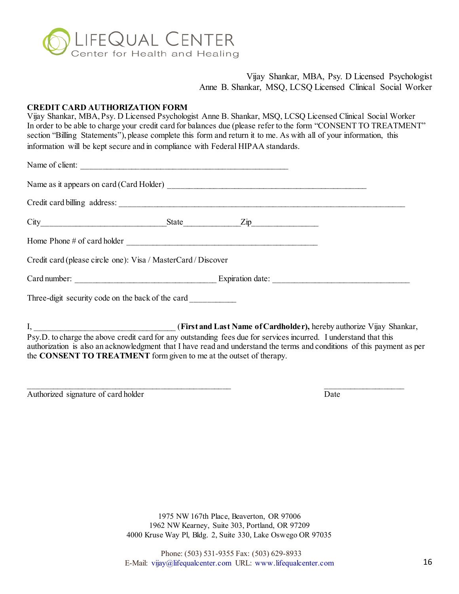

### **CREDIT CARD AUTHORIZATION FORM**

Vijay Shankar, MBA, Psy. D Licensed Psychologist Anne B. Shankar, MSQ, LCSQ Licensed Clinical Social Worker In order to be able to charge your credit card for balances due (please refer to the form "CONSENT TO TREATMENT" section "Billing Statements"), please complete this form and return it to me. As with all of your information, this information will be kept secure and in compliance with Federal HIPAA standards.

| Name of client:                                               |                            |  |
|---------------------------------------------------------------|----------------------------|--|
|                                                               |                            |  |
|                                                               |                            |  |
|                                                               | $City$ $City$ $Zip$ $Type$ |  |
|                                                               |                            |  |
| Credit card (please circle one): Visa / MasterCard / Discover |                            |  |
|                                                               |                            |  |
| Three-digit security code on the back of the card             |                            |  |
|                                                               |                            |  |

I, \_\_\_\_\_\_\_\_\_\_\_\_\_\_\_\_\_\_\_\_\_\_\_\_\_\_\_\_\_\_\_\_\_\_ (**First and Last Name of Cardholder),** hereby authorize Vijay Shankar, Psy.D. to charge the above credit card for any outstanding fees due for services incurred. I understand that this authorization is also an acknowledgment that I have read and understand the terms and conditions of this payment as per the **CONSENT TO TREATMENT** form given to me at the outset of therapy.

 $\overline{\phantom{a}}$  , and the contract of the contract of the contract of the contract of the contract of the contract of the contract of the contract of the contract of the contract of the contract of the contract of the contrac

Authorized signature of card holder Date